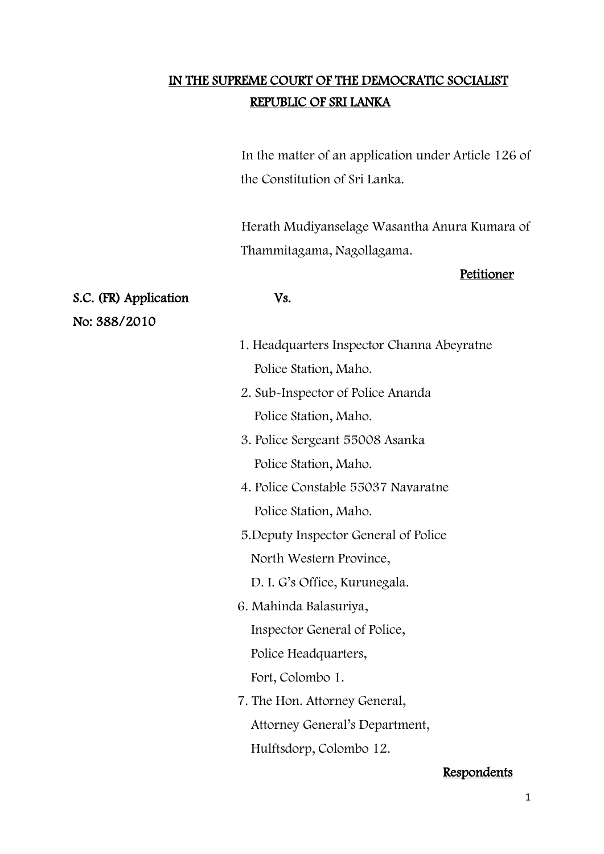# IN THE SUPREME COURT OF THE DEMOCRATIC SOCIALIST REPUBLIC OF SRI LANKA

In the matter of an application under Article 126 of the Constitution of Sri Lanka.

 Herath Mudiyanselage Wasantha Anura Kumara of Thammitagama, Nagollagama.

#### Petitioner

- 1. Headquarters Inspector Channa Abeyratne Police Station, Maho.
- 2. Sub-Inspector of Police Ananda Police Station, Maho.
- 3. Police Sergeant 55008 Asanka Police Station, Maho.
- 4. Police Constable 55037 Navaratne Police Station, Maho.
- 5.Deputy Inspector General of Police North Western Province,

D. I. G's Office, Kurunegala.

- 6. Mahinda Balasuriya, Inspector General of Police, Police Headquarters, Fort, Colombo 1.
- 7. The Hon. Attorney General, Attorney General's Department, Hulftsdorp, Colombo 12.

#### Respondents

S.C. (FR) Application Vs. No: 388/2010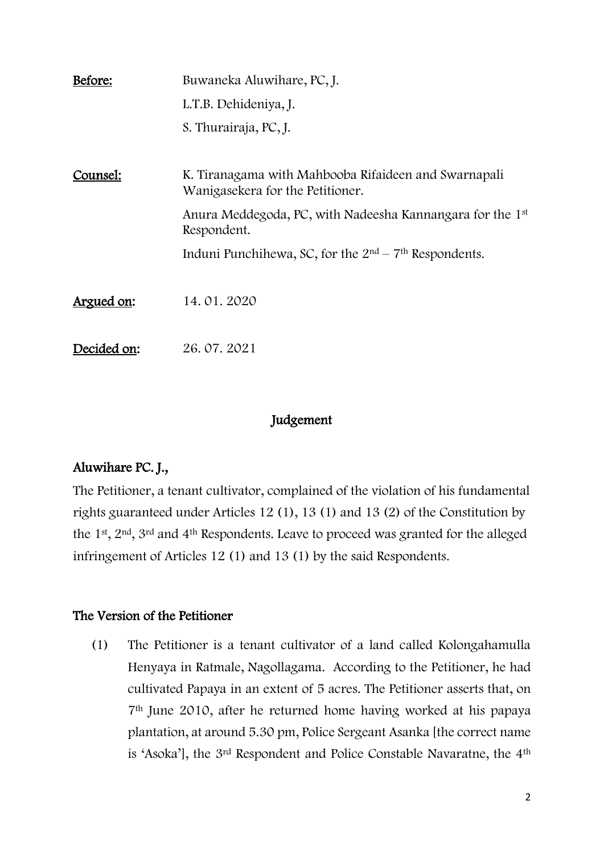| Before:     | Buwaneka Aluwihare, PC, J.                                                               |
|-------------|------------------------------------------------------------------------------------------|
|             | L.T.B. Dehideniya, J.                                                                    |
|             | S. Thurairaja, PC, J.                                                                    |
| Counsel:    | K. Tiranagama with Mahbooba Rifaideen and Swarnapali<br>Wanigasekera for the Petitioner. |
|             | Anura Meddegoda, PC, with Nadeesha Kannangara for the 1st<br>Respondent.                 |
|             | Induni Punchihewa, SC, for the $2nd - 7th$ Respondents.                                  |
| Argued on:  | 14.01.2020                                                                               |
| Decided on: | 26.07.2021                                                                               |

### Judgement

## Aluwihare PC. J.,

The Petitioner, a tenant cultivator, complained of the violation of his fundamental rights guaranteed under Articles 12 (1), 13 (1) and 13 (2) of the Constitution by the 1st, 2nd, 3rd and 4th Respondents. Leave to proceed was granted for the alleged infringement of Articles 12 (1) and 13 (1) by the said Respondents.

## The Version of the Petitioner

(1) The Petitioner is a tenant cultivator of a land called Kolongahamulla Henyaya in Ratmale, Nagollagama. According to the Petitioner, he had cultivated Papaya in an extent of 5 acres. The Petitioner asserts that, on 7th June 2010, after he returned home having worked at his papaya plantation, at around 5.30 pm, Police Sergeant Asanka [the correct name is 'Asoka'], the 3rd Respondent and Police Constable Navaratne, the 4th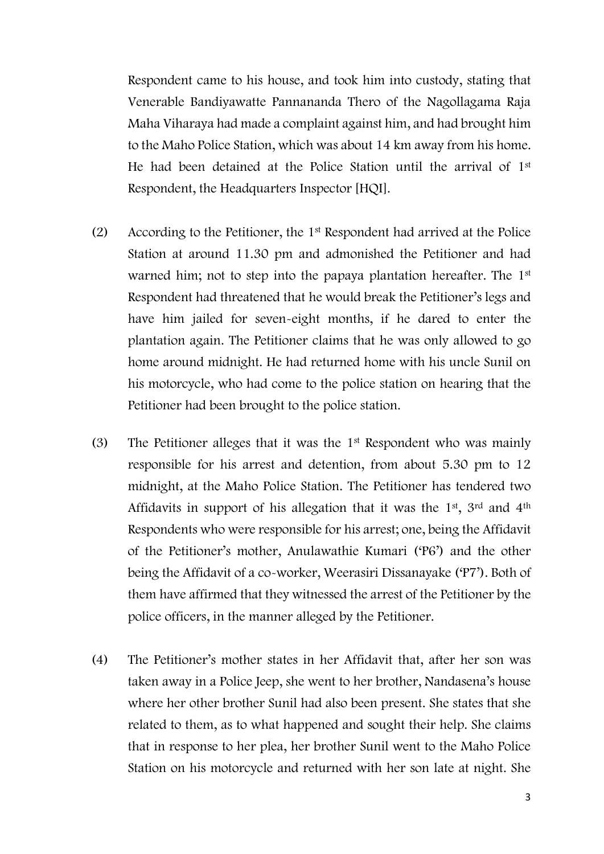Respondent came to his house, and took him into custody, stating that Venerable Bandiyawatte Pannananda Thero of the Nagollagama Raja Maha Viharaya had made a complaint against him, and had brought him to the Maho Police Station, which was about 14 km away from his home. He had been detained at the Police Station until the arrival of 1st Respondent, the Headquarters Inspector [HQI].

- (2) According to the Petitioner, the 1st Respondent had arrived at the Police Station at around 11.30 pm and admonished the Petitioner and had warned him; not to step into the papaya plantation hereafter. The 1<sup>st</sup> Respondent had threatened that he would break the Petitioner's legs and have him jailed for seven-eight months, if he dared to enter the plantation again. The Petitioner claims that he was only allowed to go home around midnight. He had returned home with his uncle Sunil on his motorcycle, who had come to the police station on hearing that the Petitioner had been brought to the police station.
- (3) The Petitioner alleges that it was the 1st Respondent who was mainly responsible for his arrest and detention, from about 5.30 pm to 12 midnight, at the Maho Police Station. The Petitioner has tendered two Affidavits in support of his allegation that it was the 1st, 3rd and 4th Respondents who were responsible for his arrest; one, being the Affidavit of the Petitioner's mother, Anulawathie Kumari ('P6') and the other being the Affidavit of a co-worker, Weerasiri Dissanayake ('P7'). Both of them have affirmed that they witnessed the arrest of the Petitioner by the police officers, in the manner alleged by the Petitioner.
- (4) The Petitioner's mother states in her Affidavit that, after her son was taken away in a Police Jeep, she went to her brother, Nandasena's house where her other brother Sunil had also been present. She states that she related to them, as to what happened and sought their help. She claims that in response to her plea, her brother Sunil went to the Maho Police Station on his motorcycle and returned with her son late at night. She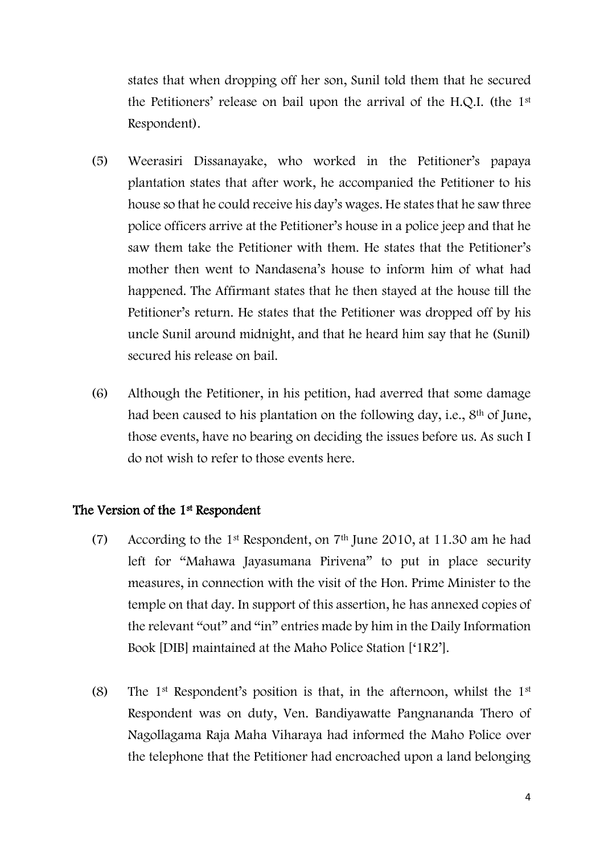states that when dropping off her son, Sunil told them that he secured the Petitioners' release on bail upon the arrival of the H.Q.I. (the 1st Respondent).

- (5) Weerasiri Dissanayake, who worked in the Petitioner's papaya plantation states that after work, he accompanied the Petitioner to his house so that he could receive his day's wages. He states that he saw three police officers arrive at the Petitioner's house in a police jeep and that he saw them take the Petitioner with them. He states that the Petitioner's mother then went to Nandasena's house to inform him of what had happened. The Affirmant states that he then stayed at the house till the Petitioner's return. He states that the Petitioner was dropped off by his uncle Sunil around midnight, and that he heard him say that he (Sunil) secured his release on bail.
- (6) Although the Petitioner, in his petition, had averred that some damage had been caused to his plantation on the following day, i.e., 8<sup>th</sup> of June, those events, have no bearing on deciding the issues before us. As such I do not wish to refer to those events here.

## The Version of the 1<sup>st</sup> Respondent

- (7) According to the 1<sup>st</sup> Respondent, on  $7<sup>th</sup>$  June 2010, at 11.30 am he had left for "Mahawa Jayasumana Pirivena" to put in place security measures, in connection with the visit of the Hon. Prime Minister to the temple on that day. In support of this assertion, he has annexed copies of the relevant "out" and "in" entries made by him in the Daily Information Book [DIB] maintained at the Maho Police Station ['1R2'].
- (8) The 1st Respondent's position is that, in the afternoon, whilst the 1st Respondent was on duty, Ven. Bandiyawatte Pangnananda Thero of Nagollagama Raja Maha Viharaya had informed the Maho Police over the telephone that the Petitioner had encroached upon a land belonging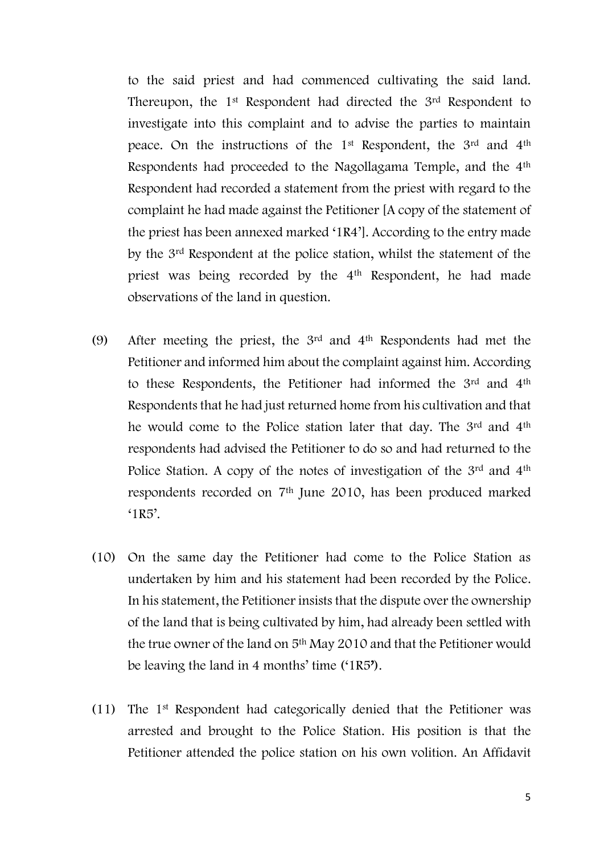to the said priest and had commenced cultivating the said land. Thereupon, the 1<sup>st</sup> Respondent had directed the 3<sup>rd</sup> Respondent to investigate into this complaint and to advise the parties to maintain peace. On the instructions of the 1st Respondent, the 3rd and 4th Respondents had proceeded to the Nagollagama Temple, and the 4th Respondent had recorded a statement from the priest with regard to the complaint he had made against the Petitioner [A copy of the statement of the priest has been annexed marked '1R4']. According to the entry made by the 3rd Respondent at the police station, whilst the statement of the priest was being recorded by the 4<sup>th</sup> Respondent, he had made observations of the land in question.

- (9) After meeting the priest, the  $3<sup>rd</sup>$  and  $4<sup>th</sup>$  Respondents had met the Petitioner and informed him about the complaint against him. According to these Respondents, the Petitioner had informed the 3rd and 4th Respondents that he had just returned home from his cultivation and that he would come to the Police station later that day. The 3<sup>rd</sup> and 4<sup>th</sup> respondents had advised the Petitioner to do so and had returned to the Police Station. A copy of the notes of investigation of the 3rd and 4<sup>th</sup> respondents recorded on 7th June 2010, has been produced marked  $'1R5'$ .
- (10) On the same day the Petitioner had come to the Police Station as undertaken by him and his statement had been recorded by the Police. In his statement, the Petitioner insists that the dispute over the ownership of the land that is being cultivated by him, had already been settled with the true owner of the land on 5th May 2010 and that the Petitioner would be leaving the land in 4 months' time ('1R5').
- (11) The 1st Respondent had categorically denied that the Petitioner was arrested and brought to the Police Station. His position is that the Petitioner attended the police station on his own volition. An Affidavit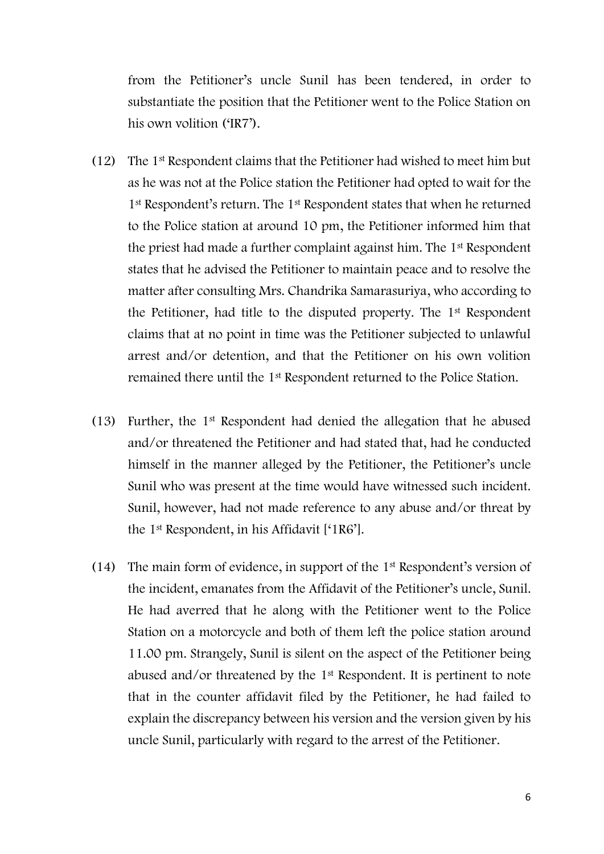from the Petitioner's uncle Sunil has been tendered, in order to substantiate the position that the Petitioner went to the Police Station on his own volition ('IR7').

- (12) The 1st Respondent claims that the Petitioner had wished to meet him but as he was not at the Police station the Petitioner had opted to wait for the 1<sup>st</sup> Respondent's return. The 1<sup>st</sup> Respondent states that when he returned to the Police station at around 10 pm, the Petitioner informed him that the priest had made a further complaint against him. The 1st Respondent states that he advised the Petitioner to maintain peace and to resolve the matter after consulting Mrs. Chandrika Samarasuriya, who according to the Petitioner, had title to the disputed property. The 1st Respondent claims that at no point in time was the Petitioner subjected to unlawful arrest and/or detention, and that the Petitioner on his own volition remained there until the 1st Respondent returned to the Police Station.
- (13) Further, the 1st Respondent had denied the allegation that he abused and/or threatened the Petitioner and had stated that, had he conducted himself in the manner alleged by the Petitioner, the Petitioner's uncle Sunil who was present at the time would have witnessed such incident. Sunil, however, had not made reference to any abuse and/or threat by the 1st Respondent, in his Affidavit ['1R6'].
- (14) The main form of evidence, in support of the 1st Respondent's version of the incident, emanates from the Affidavit of the Petitioner's uncle, Sunil. He had averred that he along with the Petitioner went to the Police Station on a motorcycle and both of them left the police station around 11.00 pm. Strangely, Sunil is silent on the aspect of the Petitioner being abused and/or threatened by the 1st Respondent. It is pertinent to note that in the counter affidavit filed by the Petitioner, he had failed to explain the discrepancy between his version and the version given by his uncle Sunil, particularly with regard to the arrest of the Petitioner.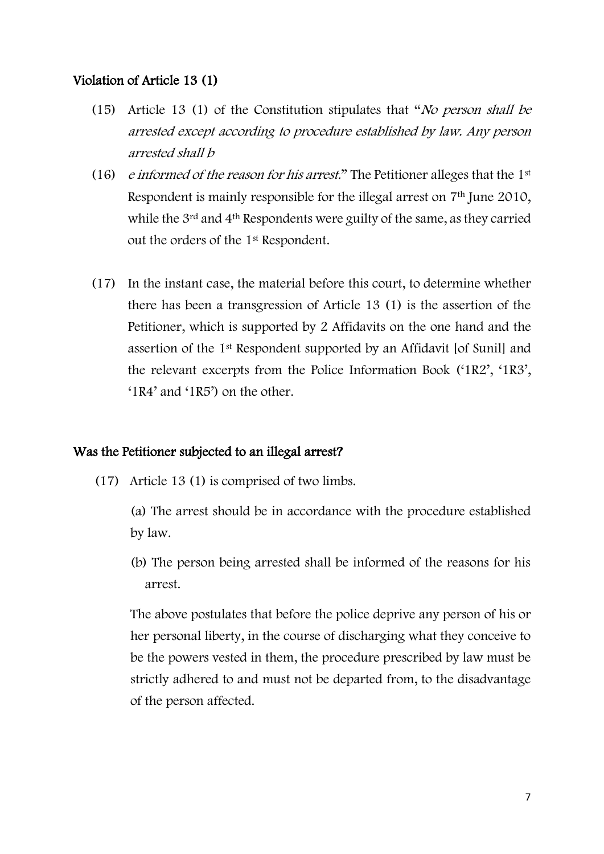#### Violation of Article 13 (1)

- (15) Article 13 (1) of the Constitution stipulates that "No person shall be arrested except according to procedure established by law. Any person arrested shall b
- (16) e informed of the reason for his arrest." The Petitioner alleges that the  $1<sup>st</sup>$ Respondent is mainly responsible for the illegal arrest on 7<sup>th</sup> June 2010, while the 3<sup>rd</sup> and 4<sup>th</sup> Respondents were guilty of the same, as they carried out the orders of the 1st Respondent.
- (17) In the instant case, the material before this court, to determine whether there has been a transgression of Article 13 (1) is the assertion of the Petitioner, which is supported by 2 Affidavits on the one hand and the assertion of the 1st Respondent supported by an Affidavit [of Sunil] and the relevant excerpts from the Police Information Book ('1R2', '1R3', '1R4' and '1R5') on the other.

#### Was the Petitioner subjected to an illegal arrest?

- (17) Article 13 (1) is comprised of two limbs.
	- (a) The arrest should be in accordance with the procedure established by law.
	- (b) The person being arrested shall be informed of the reasons for his arrest.

The above postulates that before the police deprive any person of his or her personal liberty, in the course of discharging what they conceive to be the powers vested in them, the procedure prescribed by law must be strictly adhered to and must not be departed from, to the disadvantage of the person affected.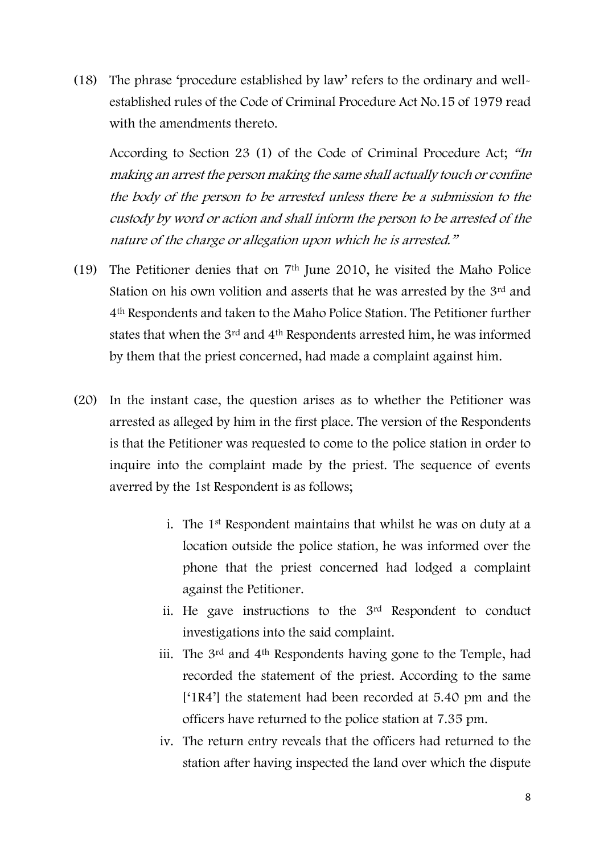(18) The phrase 'procedure established by law' refers to the ordinary and wellestablished rules of the Code of Criminal Procedure Act No.15 of 1979 read with the amendments thereto.

According to Section 23 (1) of the Code of Criminal Procedure Act; "In making an arrest the person making the same shall actually touch or confine the body of the person to be arrested unless there be a submission to the custody by word or action and shall inform the person to be arrested of the nature of the charge or allegation upon which he is arrested."

- (19) The Petitioner denies that on 7th June 2010, he visited the Maho Police Station on his own volition and asserts that he was arrested by the 3rd and 4th Respondents and taken to the Maho Police Station. The Petitioner further states that when the 3rd and 4th Respondents arrested him, he was informed by them that the priest concerned, had made a complaint against him.
- (20) In the instant case, the question arises as to whether the Petitioner was arrested as alleged by him in the first place. The version of the Respondents is that the Petitioner was requested to come to the police station in order to inquire into the complaint made by the priest. The sequence of events averred by the 1st Respondent is as follows;
	- i. The 1st Respondent maintains that whilst he was on duty at a location outside the police station, he was informed over the phone that the priest concerned had lodged a complaint against the Petitioner.
	- ii. He gave instructions to the 3rd Respondent to conduct investigations into the said complaint.
	- iii. The 3rd and 4th Respondents having gone to the Temple, had recorded the statement of the priest. According to the same ['1R4'] the statement had been recorded at 5.40 pm and the officers have returned to the police station at 7.35 pm.
	- iv. The return entry reveals that the officers had returned to the station after having inspected the land over which the dispute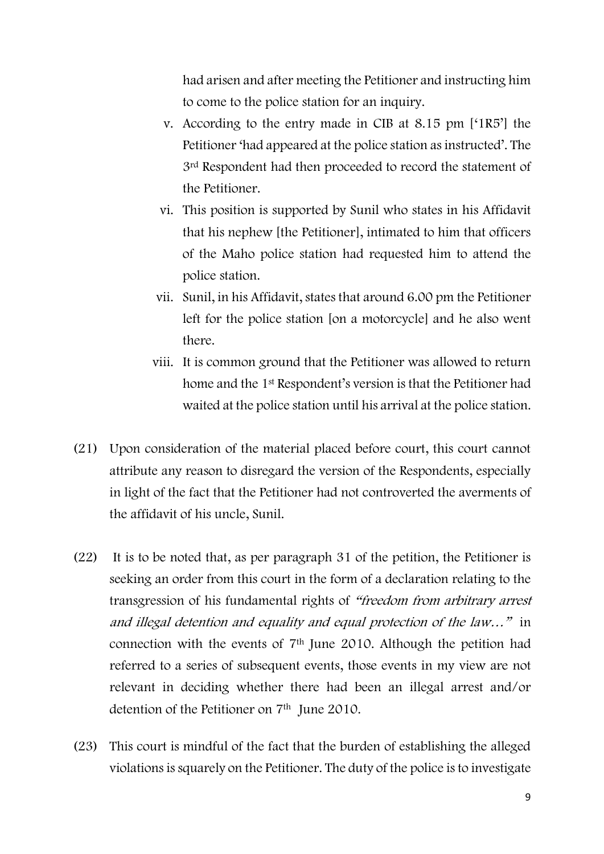had arisen and after meeting the Petitioner and instructing him to come to the police station for an inquiry.

- v. According to the entry made in CIB at 8.15 pm ['1R5'] the Petitioner 'had appeared at the police station as instructed'. The 3rd Respondent had then proceeded to record the statement of the Petitioner.
- vi. This position is supported by Sunil who states in his Affidavit that his nephew [the Petitioner], intimated to him that officers of the Maho police station had requested him to attend the police station.
- vii. Sunil, in his Affidavit, states that around 6.00 pm the Petitioner left for the police station [on a motorcycle] and he also went there.
- viii. It is common ground that the Petitioner was allowed to return home and the 1st Respondent's version is that the Petitioner had waited at the police station until his arrival at the police station.
- (21) Upon consideration of the material placed before court, this court cannot attribute any reason to disregard the version of the Respondents, especially in light of the fact that the Petitioner had not controverted the averments of the affidavit of his uncle, Sunil.
- (22) It is to be noted that, as per paragraph 31 of the petition, the Petitioner is seeking an order from this court in the form of a declaration relating to the transgression of his fundamental rights of "freedom from arbitrary arrest and illegal detention and equality and equal protection of the law…" in connection with the events of 7th June 2010. Although the petition had referred to a series of subsequent events, those events in my view are not relevant in deciding whether there had been an illegal arrest and/or detention of the Petitioner on 7<sup>th</sup> June 2010.
- (23) This court is mindful of the fact that the burden of establishing the alleged violations is squarely on the Petitioner. The duty of the police is to investigate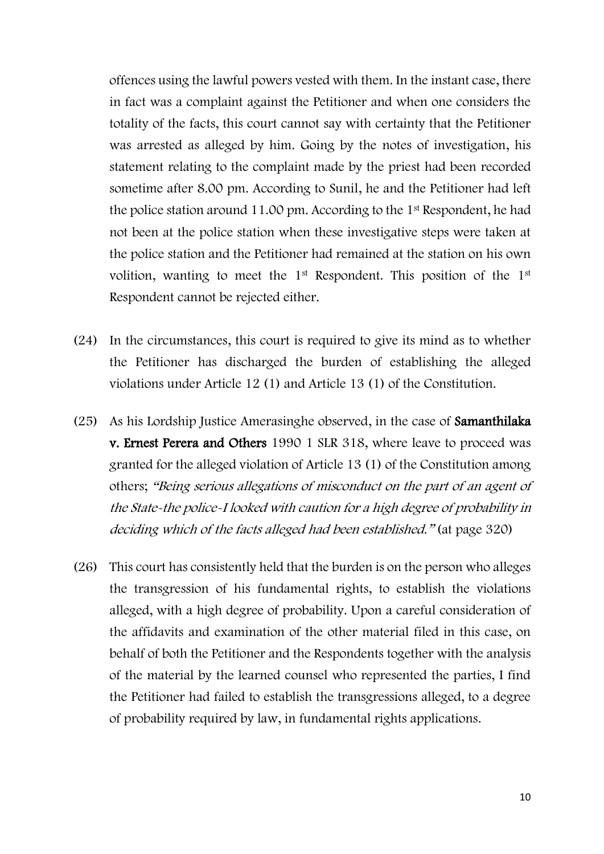offences using the lawful powers vested with them. In the instant case, there in fact was a complaint against the Petitioner and when one considers the totality of the facts, this court cannot say with certainty that the Petitioner was arrested as alleged by him. Going by the notes of investigation, his statement relating to the complaint made by the priest had been recorded sometime after 8.00 pm. According to Sunil, he and the Petitioner had left the police station around 11.00 pm. According to the 1st Respondent, he had not been at the police station when these investigative steps were taken at the police station and the Petitioner had remained at the station on his own volition, wanting to meet the 1st Respondent. This position of the 1st Respondent cannot be rejected either.

- (24) In the circumstances, this court is required to give its mind as to whether the Petitioner has discharged the burden of establishing the alleged violations under Article 12 (1) and Article 13 (1) of the Constitution.
- (25) As his Lordship Justice Amerasinghe observed, in the case of Samanthilaka v. Ernest Perera and Others 1990 1 SLR 318, where leave to proceed was granted for the alleged violation of Article 13 (1) of the Constitution among others; "Being serious allegations of misconduct on the part of an agent of the State-the police-I looked with caution for a high degree of probability in deciding which of the facts alleged had been established." (at page 320)
- (26) This court has consistently held that the burden is on the person who alleges the transgression of his fundamental rights, to establish the violations alleged, with a high degree of probability. Upon a careful consideration of the affidavits and examination of the other material filed in this case, on behalf of both the Petitioner and the Respondents together with the analysis of the material by the learned counsel who represented the parties, I find the Petitioner had failed to establish the transgressions alleged, to a degree of probability required by law, in fundamental rights applications.